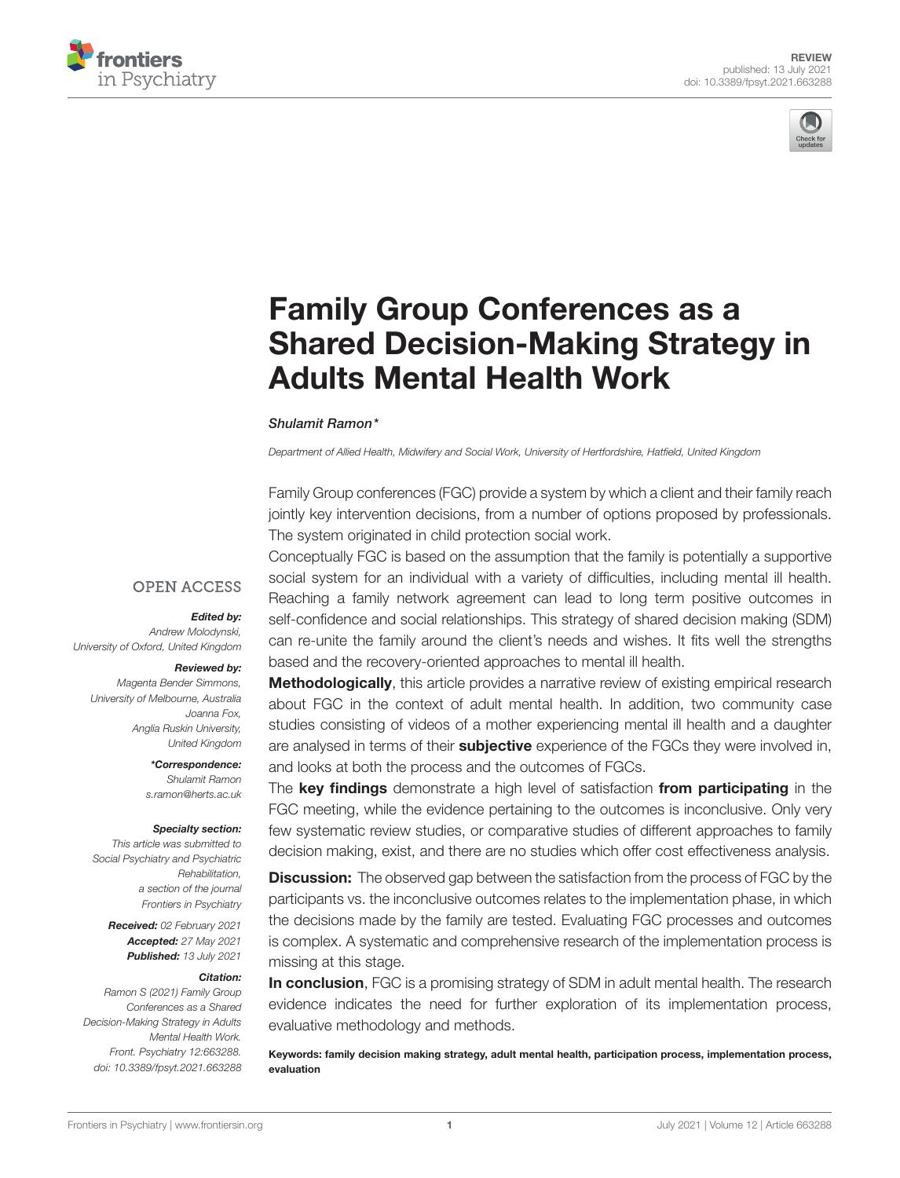



# Family Group Conferences as a [Shared Decision-Making Strategy in](https://www.frontiersin.org/articles/10.3389/fpsyt.2021.663288/full) Adults Mental Health Work

#### Shulamit Ramon\*

Department of Allied Health, Midwifery and Social Work, University of Hertfordshire, Hatfield, United Kingdom

Family Group conferences (FGC) provide a system by which a client and their family reach jointly key intervention decisions, from a number of options proposed by professionals. The system originated in child protection social work.

**OPEN ACCESS** 

#### Edited by:

Andrew Molodynski, University of Oxford, United Kingdom

#### Reviewed by:

Magenta Bender Simmons, University of Melbourne, Australia Joanna Fox, Anglia Ruskin University, United Kingdom

> \*Correspondence: Shulamit Ramon [s.ramon@herts.ac.uk](mailto:s.ramon@herts.ac.uk)

#### Specialty section:

This article was submitted to Social Psychiatry and Psychiatric Rehabilitation, a section of the journal Frontiers in Psychiatry

> Received: 02 February 2021 Accepted: 27 May 2021 Published: 13 July 2021

#### Citation:

Ramon S (2021) Family Group Conferences as a Shared Decision-Making Strategy in Adults Mental Health Work. Front. Psychiatry 12:663288. doi: [10.3389/fpsyt.2021.663288](https://doi.org/10.3389/fpsyt.2021.663288) Conceptually FGC is based on the assumption that the family is potentially a supportive social system for an individual with a variety of difficulties, including mental ill health. Reaching a family network agreement can lead to long term positive outcomes in self-confidence and social relationships. This strategy of shared decision making (SDM) can re-unite the family around the client's needs and wishes. It fits well the strengths based and the recovery-oriented approaches to mental ill health.

**Methodologically**, this article provides a narrative review of existing empirical research about FGC in the context of adult mental health. In addition, two community case studies consisting of videos of a mother experiencing mental ill health and a daughter are analysed in terms of their **subjective** experience of the FGCs they were involved in, and looks at both the process and the outcomes of FGCs.

The key findings demonstrate a high level of satisfaction from participating in the FGC meeting, while the evidence pertaining to the outcomes is inconclusive. Only very few systematic review studies, or comparative studies of different approaches to family decision making, exist, and there are no studies which offer cost effectiveness analysis.

**Discussion:** The observed gap between the satisfaction from the process of FGC by the participants vs. the inconclusive outcomes relates to the implementation phase, in which the decisions made by the family are tested. Evaluating FGC processes and outcomes is complex. A systematic and comprehensive research of the implementation process is missing at this stage.

In conclusion, FGC is a promising strategy of SDM in adult mental health. The research evidence indicates the need for further exploration of its implementation process, evaluative methodology and methods.

Keywords: family decision making strategy, adult mental health, participation process, implementation process, evaluation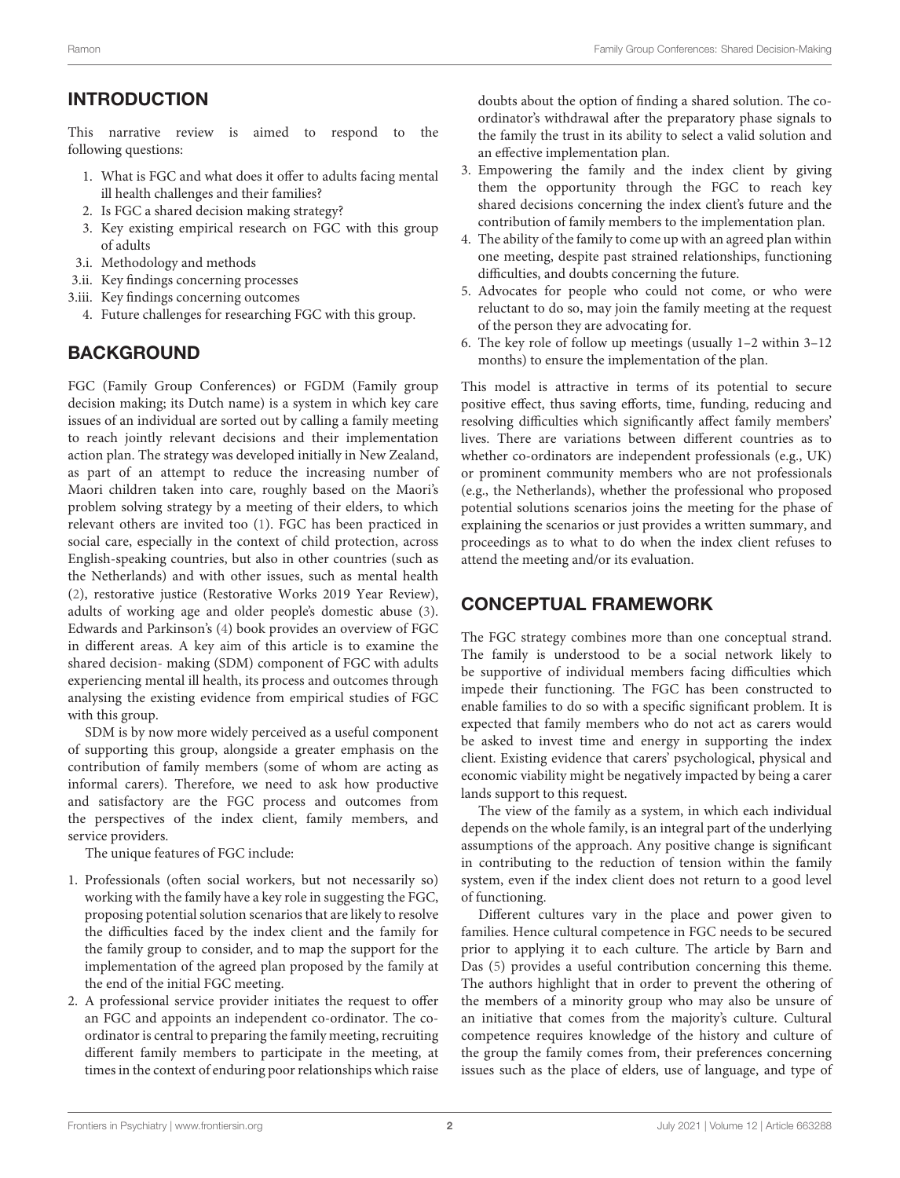# INTRODUCTION

This narrative review is aimed to respond to the following questions:

- 1. What is FGC and what does it offer to adults facing mental ill health challenges and their families?
- 2. Is FGC a shared decision making strategy?
- 3. Key existing empirical research on FGC with this group of adults
- 3.i. Methodology and methods
- 3.ii. Key findings concerning processes
- 3.iii. Key findings concerning outcomes
	- 4. Future challenges for researching FGC with this group.

# **BACKGROUND**

FGC (Family Group Conferences) or FGDM (Family group decision making; its Dutch name) is a system in which key care issues of an individual are sorted out by calling a family meeting to reach jointly relevant decisions and their implementation action plan. The strategy was developed initially in New Zealand, as part of an attempt to reduce the increasing number of Maori children taken into care, roughly based on the Maori's problem solving strategy by a meeting of their elders, to which relevant others are invited too [\(1\)](#page-7-0). FGC has been practiced in social care, especially in the context of child protection, across English-speaking countries, but also in other countries (such as the Netherlands) and with other issues, such as mental health [\(2\)](#page-7-1), restorative justice (Restorative Works 2019 Year Review), adults of working age and older people's domestic abuse [\(3\)](#page-7-2). Edwards and Parkinson's [\(4\)](#page-7-3) book provides an overview of FGC in different areas. A key aim of this article is to examine the shared decision- making (SDM) component of FGC with adults experiencing mental ill health, its process and outcomes through analysing the existing evidence from empirical studies of FGC with this group.

SDM is by now more widely perceived as a useful component of supporting this group, alongside a greater emphasis on the contribution of family members (some of whom are acting as informal carers). Therefore, we need to ask how productive and satisfactory are the FGC process and outcomes from the perspectives of the index client, family members, and service providers.

The unique features of FGC include:

- 1. Professionals (often social workers, but not necessarily so) working with the family have a key role in suggesting the FGC, proposing potential solution scenarios that are likely to resolve the difficulties faced by the index client and the family for the family group to consider, and to map the support for the implementation of the agreed plan proposed by the family at the end of the initial FGC meeting.
- 2. A professional service provider initiates the request to offer an FGC and appoints an independent co-ordinator. The coordinator is central to preparing the family meeting, recruiting different family members to participate in the meeting, at times in the context of enduring poor relationships which raise

doubts about the option of finding a shared solution. The coordinator's withdrawal after the preparatory phase signals to the family the trust in its ability to select a valid solution and an effective implementation plan.

- 3. Empowering the family and the index client by giving them the opportunity through the FGC to reach key shared decisions concerning the index client's future and the contribution of family members to the implementation plan.
- 4. The ability of the family to come up with an agreed plan within one meeting, despite past strained relationships, functioning difficulties, and doubts concerning the future.
- 5. Advocates for people who could not come, or who were reluctant to do so, may join the family meeting at the request of the person they are advocating for.
- 6. The key role of follow up meetings (usually 1–2 within 3–12 months) to ensure the implementation of the plan.

This model is attractive in terms of its potential to secure positive effect, thus saving efforts, time, funding, reducing and resolving difficulties which significantly affect family members' lives. There are variations between different countries as to whether co-ordinators are independent professionals (e.g., UK) or prominent community members who are not professionals (e.g., the Netherlands), whether the professional who proposed potential solutions scenarios joins the meeting for the phase of explaining the scenarios or just provides a written summary, and proceedings as to what to do when the index client refuses to attend the meeting and/or its evaluation.

# CONCEPTUAL FRAMEWORK

The FGC strategy combines more than one conceptual strand. The family is understood to be a social network likely to be supportive of individual members facing difficulties which impede their functioning. The FGC has been constructed to enable families to do so with a specific significant problem. It is expected that family members who do not act as carers would be asked to invest time and energy in supporting the index client. Existing evidence that carers' psychological, physical and economic viability might be negatively impacted by being a carer lands support to this request.

The view of the family as a system, in which each individual depends on the whole family, is an integral part of the underlying assumptions of the approach. Any positive change is significant in contributing to the reduction of tension within the family system, even if the index client does not return to a good level of functioning.

Different cultures vary in the place and power given to families. Hence cultural competence in FGC needs to be secured prior to applying it to each culture. The article by Barn and Das [\(5\)](#page-7-4) provides a useful contribution concerning this theme. The authors highlight that in order to prevent the othering of the members of a minority group who may also be unsure of an initiative that comes from the majority's culture. Cultural competence requires knowledge of the history and culture of the group the family comes from, their preferences concerning issues such as the place of elders, use of language, and type of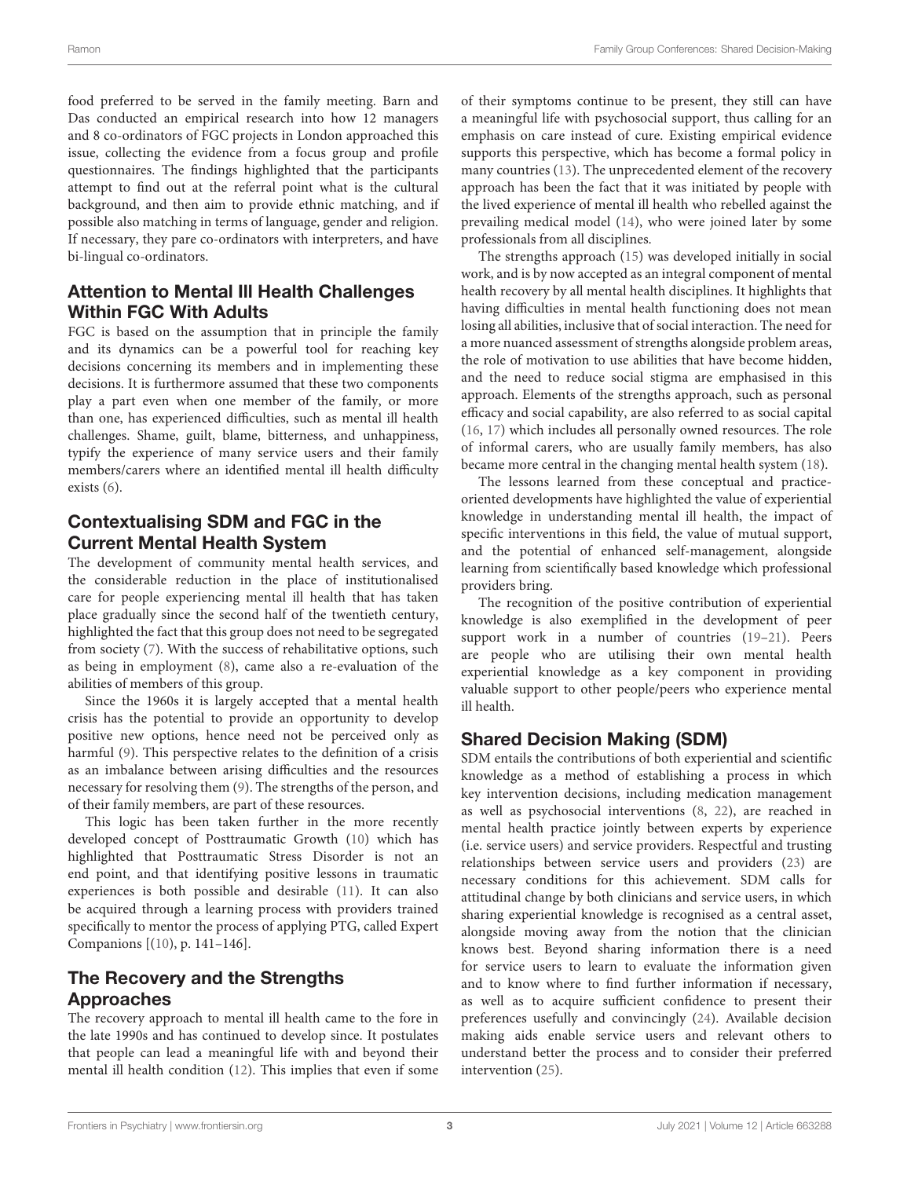food preferred to be served in the family meeting. Barn and Das conducted an empirical research into how 12 managers and 8 co-ordinators of FGC projects in London approached this issue, collecting the evidence from a focus group and profile questionnaires. The findings highlighted that the participants attempt to find out at the referral point what is the cultural background, and then aim to provide ethnic matching, and if possible also matching in terms of language, gender and religion. If necessary, they pare co-ordinators with interpreters, and have bi-lingual co-ordinators.

### Attention to Mental Ill Health Challenges Within FGC With Adults

FGC is based on the assumption that in principle the family and its dynamics can be a powerful tool for reaching key decisions concerning its members and in implementing these decisions. It is furthermore assumed that these two components play a part even when one member of the family, or more than one, has experienced difficulties, such as mental ill health challenges. Shame, guilt, blame, bitterness, and unhappiness, typify the experience of many service users and their family members/carers where an identified mental ill health difficulty exists [\(6\)](#page-8-0).

### Contextualising SDM and FGC in the Current Mental Health System

The development of community mental health services, and the considerable reduction in the place of institutionalised care for people experiencing mental ill health that has taken place gradually since the second half of the twentieth century, highlighted the fact that this group does not need to be segregated from society [\(7\)](#page-8-1). With the success of rehabilitative options, such as being in employment [\(8\)](#page-8-2), came also a re-evaluation of the abilities of members of this group.

Since the 1960s it is largely accepted that a mental health crisis has the potential to provide an opportunity to develop positive new options, hence need not be perceived only as harmful [\(9\)](#page-8-3). This perspective relates to the definition of a crisis as an imbalance between arising difficulties and the resources necessary for resolving them [\(9\)](#page-8-3). The strengths of the person, and of their family members, are part of these resources.

This logic has been taken further in the more recently developed concept of Posttraumatic Growth [\(10\)](#page-8-4) which has highlighted that Posttraumatic Stress Disorder is not an end point, and that identifying positive lessons in traumatic experiences is both possible and desirable [\(11\)](#page-8-5). It can also be acquired through a learning process with providers trained specifically to mentor the process of applying PTG, called Expert Companions [[\(10\)](#page-8-4), p. 141–146].

# The Recovery and the Strengths Approaches

The recovery approach to mental ill health came to the fore in the late 1990s and has continued to develop since. It postulates that people can lead a meaningful life with and beyond their mental ill health condition [\(12\)](#page-8-6). This implies that even if some of their symptoms continue to be present, they still can have a meaningful life with psychosocial support, thus calling for an emphasis on care instead of cure. Existing empirical evidence supports this perspective, which has become a formal policy in many countries [\(13\)](#page-8-7). The unprecedented element of the recovery approach has been the fact that it was initiated by people with the lived experience of mental ill health who rebelled against the prevailing medical model [\(14\)](#page-8-8), who were joined later by some professionals from all disciplines.

The strengths approach [\(15\)](#page-8-9) was developed initially in social work, and is by now accepted as an integral component of mental health recovery by all mental health disciplines. It highlights that having difficulties in mental health functioning does not mean losing all abilities, inclusive that of social interaction. The need for a more nuanced assessment of strengths alongside problem areas, the role of motivation to use abilities that have become hidden, and the need to reduce social stigma are emphasised in this approach. Elements of the strengths approach, such as personal efficacy and social capability, are also referred to as social capital [\(16,](#page-8-10) [17\)](#page-8-11) which includes all personally owned resources. The role of informal carers, who are usually family members, has also became more central in the changing mental health system [\(18\)](#page-8-12).

The lessons learned from these conceptual and practiceoriented developments have highlighted the value of experiential knowledge in understanding mental ill health, the impact of specific interventions in this field, the value of mutual support, and the potential of enhanced self-management, alongside learning from scientifically based knowledge which professional providers bring.

The recognition of the positive contribution of experiential knowledge is also exemplified in the development of peer support work in a number of countries [\(19](#page-8-13)[–21\)](#page-8-14). Peers are people who are utilising their own mental health experiential knowledge as a key component in providing valuable support to other people/peers who experience mental ill health.

# Shared Decision Making (SDM)

SDM entails the contributions of both experiential and scientific knowledge as a method of establishing a process in which key intervention decisions, including medication management as well as psychosocial interventions [\(8,](#page-8-2) [22\)](#page-8-15), are reached in mental health practice jointly between experts by experience (i.e. service users) and service providers. Respectful and trusting relationships between service users and providers [\(23\)](#page-8-16) are necessary conditions for this achievement. SDM calls for attitudinal change by both clinicians and service users, in which sharing experiential knowledge is recognised as a central asset, alongside moving away from the notion that the clinician knows best. Beyond sharing information there is a need for service users to learn to evaluate the information given and to know where to find further information if necessary, as well as to acquire sufficient confidence to present their preferences usefully and convincingly [\(24\)](#page-8-17). Available decision making aids enable service users and relevant others to understand better the process and to consider their preferred intervention [\(25\)](#page-8-18).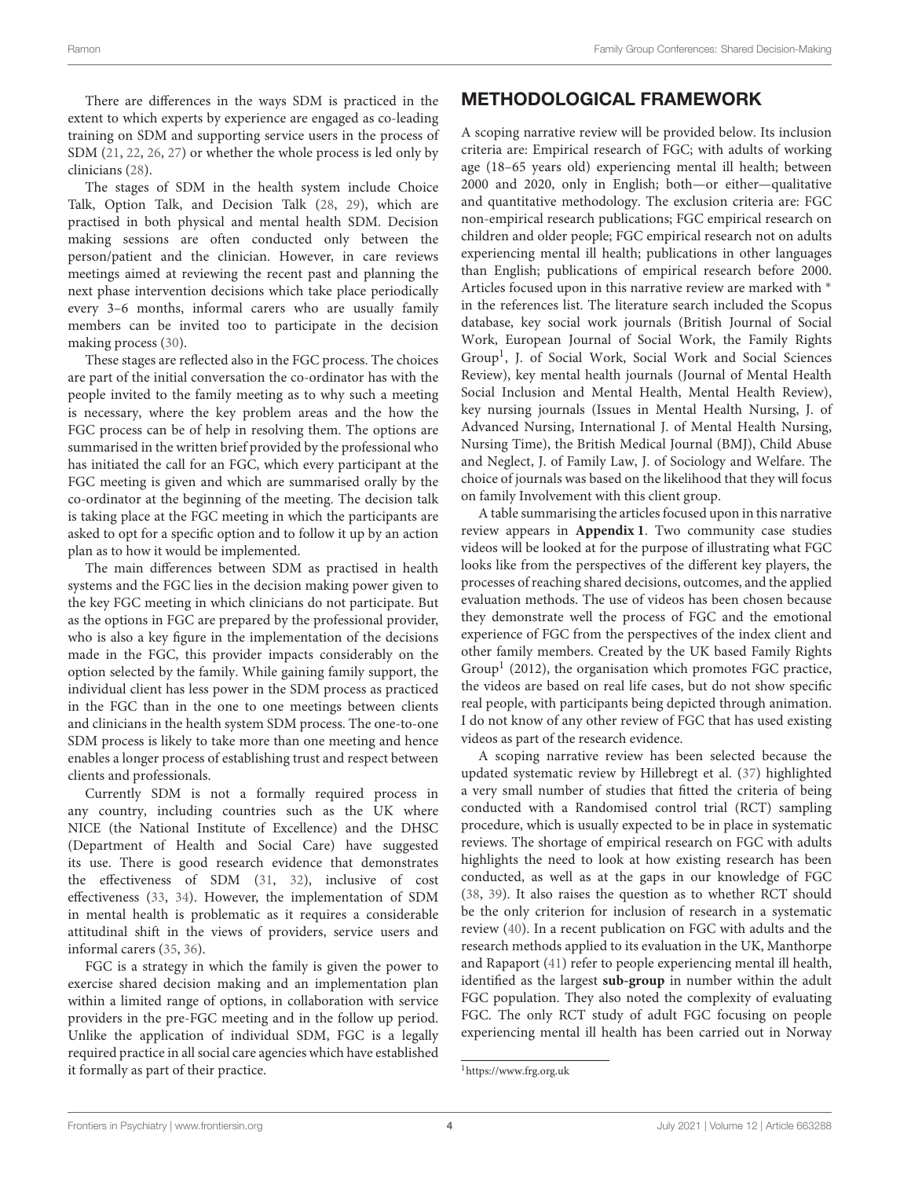There are differences in the ways SDM is practiced in the extent to which experts by experience are engaged as co-leading training on SDM and supporting service users in the process of SDM [\(21,](#page-8-14) [22,](#page-8-15) [26,](#page-8-19) [27\)](#page-8-20) or whether the whole process is led only by clinicians [\(28\)](#page-8-21).

The stages of SDM in the health system include Choice Talk, Option Talk, and Decision Talk [\(28,](#page-8-21) [29\)](#page-8-22), which are practised in both physical and mental health SDM. Decision making sessions are often conducted only between the person/patient and the clinician. However, in care reviews meetings aimed at reviewing the recent past and planning the next phase intervention decisions which take place periodically every 3–6 months, informal carers who are usually family members can be invited too to participate in the decision making process [\(30\)](#page-8-23).

These stages are reflected also in the FGC process. The choices are part of the initial conversation the co-ordinator has with the people invited to the family meeting as to why such a meeting is necessary, where the key problem areas and the how the FGC process can be of help in resolving them. The options are summarised in the written brief provided by the professional who has initiated the call for an FGC, which every participant at the FGC meeting is given and which are summarised orally by the co-ordinator at the beginning of the meeting. The decision talk is taking place at the FGC meeting in which the participants are asked to opt for a specific option and to follow it up by an action plan as to how it would be implemented.

The main differences between SDM as practised in health systems and the FGC lies in the decision making power given to the key FGC meeting in which clinicians do not participate. But as the options in FGC are prepared by the professional provider, who is also a key figure in the implementation of the decisions made in the FGC, this provider impacts considerably on the option selected by the family. While gaining family support, the individual client has less power in the SDM process as practiced in the FGC than in the one to one meetings between clients and clinicians in the health system SDM process. The one-to-one SDM process is likely to take more than one meeting and hence enables a longer process of establishing trust and respect between clients and professionals.

Currently SDM is not a formally required process in any country, including countries such as the UK where NICE (the National Institute of Excellence) and the DHSC (Department of Health and Social Care) have suggested its use. There is good research evidence that demonstrates the effectiveness of SDM [\(31,](#page-8-24) [32\)](#page-8-25), inclusive of cost effectiveness [\(33,](#page-8-26) [34\)](#page-8-27). However, the implementation of SDM in mental health is problematic as it requires a considerable attitudinal shift in the views of providers, service users and informal carers [\(35,](#page-8-28) [36\)](#page-8-29).

FGC is a strategy in which the family is given the power to exercise shared decision making and an implementation plan within a limited range of options, in collaboration with service providers in the pre-FGC meeting and in the follow up period. Unlike the application of individual SDM, FGC is a legally required practice in all social care agencies which have established it formally as part of their practice.

### METHODOLOGICAL FRAMEWORK

A scoping narrative review will be provided below. Its inclusion criteria are: Empirical research of FGC; with adults of working age (18–65 years old) experiencing mental ill health; between 2000 and 2020, only in English; both—or either—qualitative and quantitative methodology. The exclusion criteria are: FGC non-empirical research publications; FGC empirical research on children and older people; FGC empirical research not on adults experiencing mental ill health; publications in other languages than English; publications of empirical research before 2000. Articles focused upon in this narrative review are marked with ∗ in the references list. The literature search included the Scopus database, key social work journals (British Journal of Social Work, European Journal of Social Work, the Family Rights Group[1](#page-3-0) , J. of Social Work, Social Work and Social Sciences Review), key mental health journals (Journal of Mental Health Social Inclusion and Mental Health, Mental Health Review), key nursing journals (Issues in Mental Health Nursing, J. of Advanced Nursing, International J. of Mental Health Nursing, Nursing Time), the British Medical Journal (BMJ), Child Abuse and Neglect, J. of Family Law, J. of Sociology and Welfare. The choice of journals was based on the likelihood that they will focus on family Involvement with this client group.

A table summarising the articles focused upon in this narrative review appears in **[Appendix 1](#page-7-5)**. Two community case studies videos will be looked at for the purpose of illustrating what FGC looks like from the perspectives of the different key players, the processes of reaching shared decisions, outcomes, and the applied evaluation methods. The use of videos has been chosen because they demonstrate well the process of FGC and the emotional experience of FGC from the perspectives of the index client and other family members. Created by the UK based Family Rights Group<sup>1</sup> (2012), the organisation which promotes FGC practice, the videos are based on real life cases, but do not show specific real people, with participants being depicted through animation. I do not know of any other review of FGC that has used existing videos as part of the research evidence.

A scoping narrative review has been selected because the updated systematic review by Hillebregt et al. [\(37\)](#page-8-30) highlighted a very small number of studies that fitted the criteria of being conducted with a Randomised control trial (RCT) sampling procedure, which is usually expected to be in place in systematic reviews. The shortage of empirical research on FGC with adults highlights the need to look at how existing research has been conducted, as well as at the gaps in our knowledge of FGC [\(38,](#page-8-31) [39\)](#page-8-32). It also raises the question as to whether RCT should be the only criterion for inclusion of research in a systematic review [\(40\)](#page-8-33). In a recent publication on FGC with adults and the research methods applied to its evaluation in the UK, Manthorpe and Rapaport [\(41\)](#page-8-34) refer to people experiencing mental ill health, identified as the largest **sub-group** in number within the adult FGC population. They also noted the complexity of evaluating FGC. The only RCT study of adult FGC focusing on people experiencing mental ill health has been carried out in Norway

<span id="page-3-0"></span><sup>1</sup><https://www.frg.org.uk>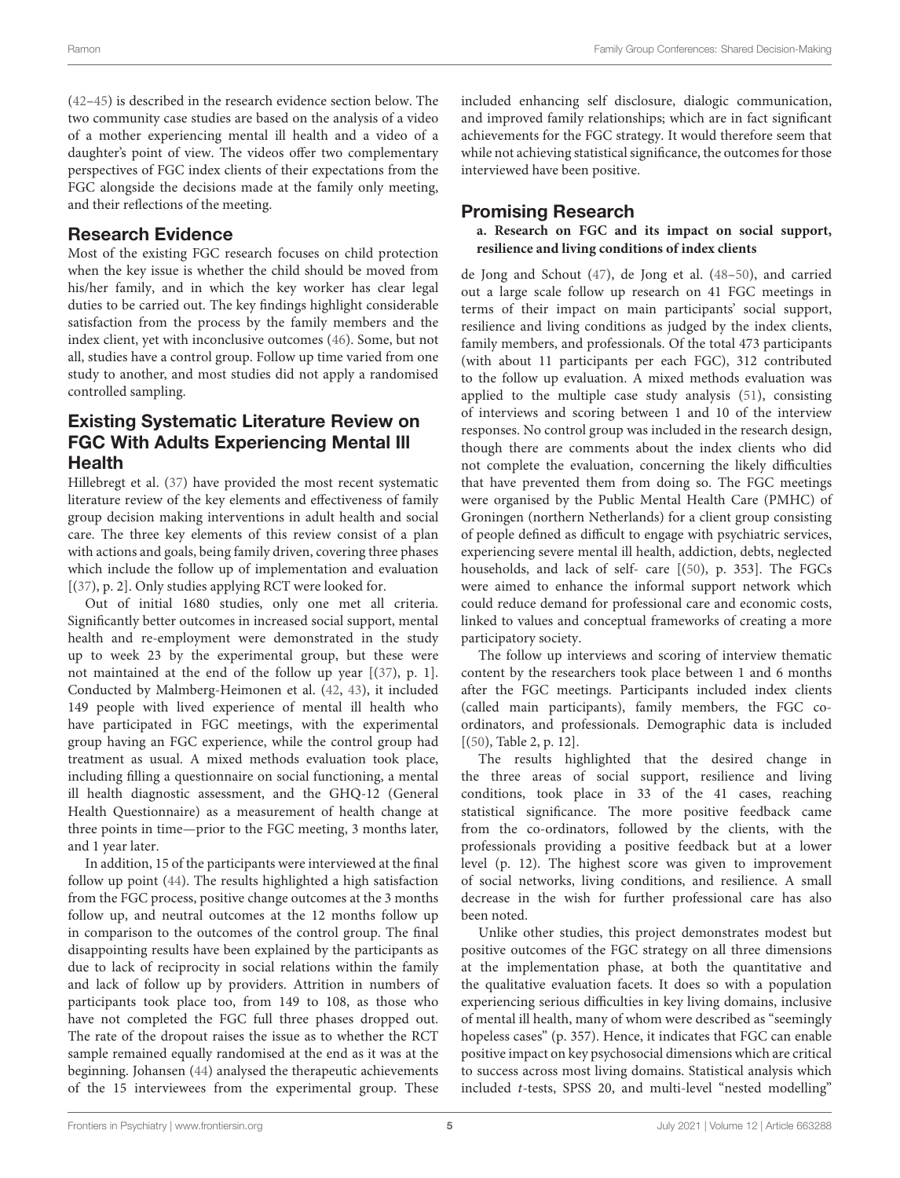[\(42](#page-8-35)[–45\)](#page-8-36) is described in the research evidence section below. The two community case studies are based on the analysis of a video of a mother experiencing mental ill health and a video of a daughter's point of view. The videos offer two complementary perspectives of FGC index clients of their expectations from the FGC alongside the decisions made at the family only meeting, and their reflections of the meeting.

### Research Evidence

Most of the existing FGC research focuses on child protection when the key issue is whether the child should be moved from his/her family, and in which the key worker has clear legal duties to be carried out. The key findings highlight considerable satisfaction from the process by the family members and the index client, yet with inconclusive outcomes [\(46\)](#page-8-37). Some, but not all, studies have a control group. Follow up time varied from one study to another, and most studies did not apply a randomised controlled sampling.

### Existing Systematic Literature Review on FGC With Adults Experiencing Mental Ill Health

Hillebregt et al. [\(37\)](#page-8-30) have provided the most recent systematic literature review of the key elements and effectiveness of family group decision making interventions in adult health and social care. The three key elements of this review consist of a plan with actions and goals, being family driven, covering three phases which include the follow up of implementation and evaluation [[\(37\)](#page-8-30), p. 2]. Only studies applying RCT were looked for.

Out of initial 1680 studies, only one met all criteria. Significantly better outcomes in increased social support, mental health and re-employment were demonstrated in the study up to week 23 by the experimental group, but these were not maintained at the end of the follow up year [[\(37\)](#page-8-30), p. 1]. Conducted by Malmberg-Heimonen et al. [\(42,](#page-8-35) [43\)](#page-8-38), it included 149 people with lived experience of mental ill health who have participated in FGC meetings, with the experimental group having an FGC experience, while the control group had treatment as usual. A mixed methods evaluation took place, including filling a questionnaire on social functioning, a mental ill health diagnostic assessment, and the GHQ-12 (General Health Questionnaire) as a measurement of health change at three points in time—prior to the FGC meeting, 3 months later, and 1 year later.

In addition, 15 of the participants were interviewed at the final follow up point [\(44\)](#page-8-39). The results highlighted a high satisfaction from the FGC process, positive change outcomes at the 3 months follow up, and neutral outcomes at the 12 months follow up in comparison to the outcomes of the control group. The final disappointing results have been explained by the participants as due to lack of reciprocity in social relations within the family and lack of follow up by providers. Attrition in numbers of participants took place too, from 149 to 108, as those who have not completed the FGC full three phases dropped out. The rate of the dropout raises the issue as to whether the RCT sample remained equally randomised at the end as it was at the beginning. Johansen [\(44\)](#page-8-39) analysed the therapeutic achievements of the 15 interviewees from the experimental group. These included enhancing self disclosure, dialogic communication, and improved family relationships; which are in fact significant achievements for the FGC strategy. It would therefore seem that while not achieving statistical significance, the outcomes for those interviewed have been positive.

### Promising Research

### **a. Research on FGC and its impact on social support, resilience and living conditions of index clients**

de Jong and Schout [\(47\)](#page-8-40), de Jong et al. [\(48–](#page-8-41)[50\)](#page-8-42), and carried out a large scale follow up research on 41 FGC meetings in terms of their impact on main participants' social support, resilience and living conditions as judged by the index clients, family members, and professionals. Of the total 473 participants (with about 11 participants per each FGC), 312 contributed to the follow up evaluation. A mixed methods evaluation was applied to the multiple case study analysis [\(51\)](#page-9-0), consisting of interviews and scoring between 1 and 10 of the interview responses. No control group was included in the research design, though there are comments about the index clients who did not complete the evaluation, concerning the likely difficulties that have prevented them from doing so. The FGC meetings were organised by the Public Mental Health Care (PMHC) of Groningen (northern Netherlands) for a client group consisting of people defined as difficult to engage with psychiatric services, experiencing severe mental ill health, addiction, debts, neglected households, and lack of self- care [[\(50\)](#page-8-42), p. 353]. The FGCs were aimed to enhance the informal support network which could reduce demand for professional care and economic costs, linked to values and conceptual frameworks of creating a more participatory society.

The follow up interviews and scoring of interview thematic content by the researchers took place between 1 and 6 months after the FGC meetings. Participants included index clients (called main participants), family members, the FGC coordinators, and professionals. Demographic data is included [[\(50\)](#page-8-42), Table 2, p. 12].

The results highlighted that the desired change in the three areas of social support, resilience and living conditions, took place in 33 of the 41 cases, reaching statistical significance. The more positive feedback came from the co-ordinators, followed by the clients, with the professionals providing a positive feedback but at a lower level (p. 12). The highest score was given to improvement of social networks, living conditions, and resilience. A small decrease in the wish for further professional care has also been noted.

Unlike other studies, this project demonstrates modest but positive outcomes of the FGC strategy on all three dimensions at the implementation phase, at both the quantitative and the qualitative evaluation facets. It does so with a population experiencing serious difficulties in key living domains, inclusive of mental ill health, many of whom were described as "seemingly hopeless cases" (p. 357). Hence, it indicates that FGC can enable positive impact on key psychosocial dimensions which are critical to success across most living domains. Statistical analysis which included t-tests, SPSS 20, and multi-level "nested modelling"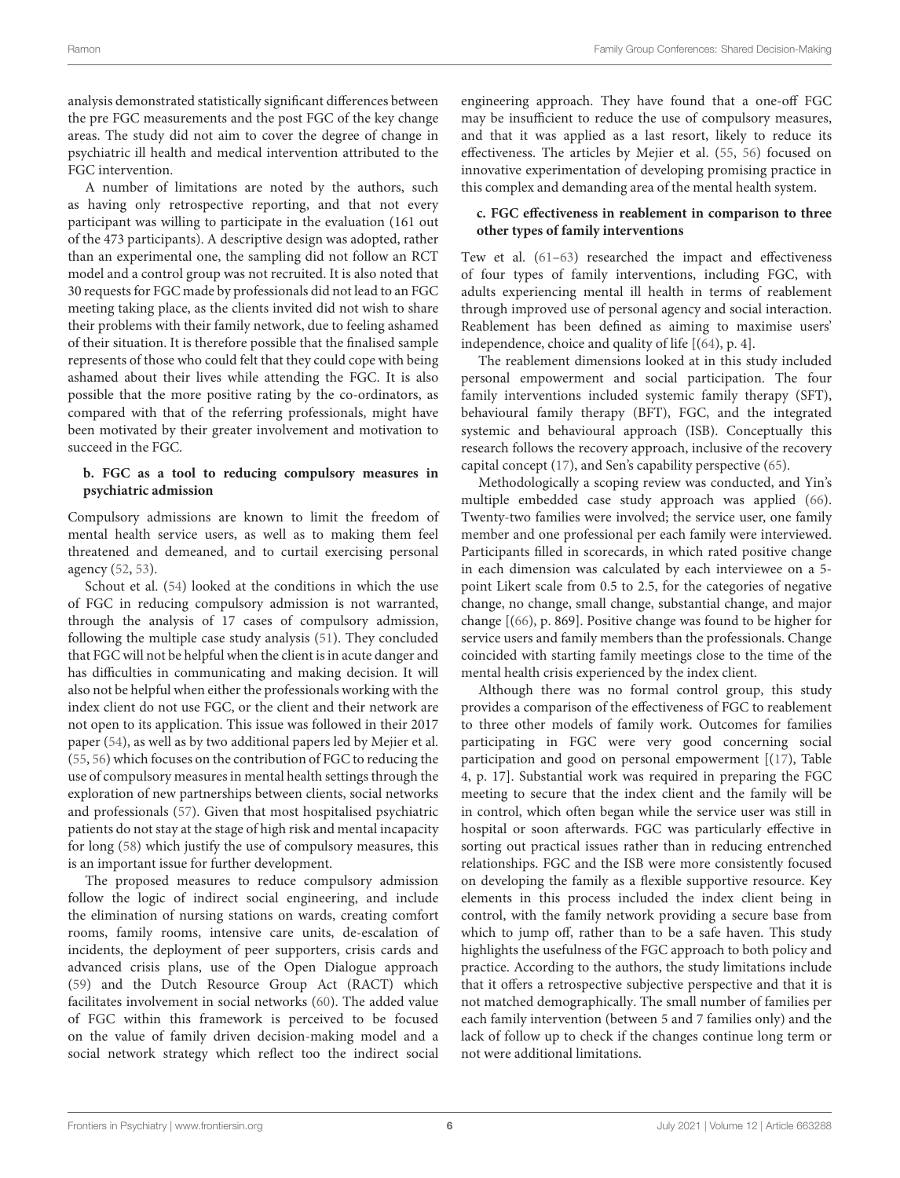analysis demonstrated statistically significant differences between the pre FGC measurements and the post FGC of the key change areas. The study did not aim to cover the degree of change in psychiatric ill health and medical intervention attributed to the FGC intervention.

A number of limitations are noted by the authors, such as having only retrospective reporting, and that not every participant was willing to participate in the evaluation (161 out of the 473 participants). A descriptive design was adopted, rather than an experimental one, the sampling did not follow an RCT model and a control group was not recruited. It is also noted that 30 requests for FGC made by professionals did not lead to an FGC meeting taking place, as the clients invited did not wish to share their problems with their family network, due to feeling ashamed of their situation. It is therefore possible that the finalised sample represents of those who could felt that they could cope with being ashamed about their lives while attending the FGC. It is also possible that the more positive rating by the co-ordinators, as compared with that of the referring professionals, might have been motivated by their greater involvement and motivation to succeed in the FGC.

### **b. FGC as a tool to reducing compulsory measures in psychiatric admission**

Compulsory admissions are known to limit the freedom of mental health service users, as well as to making them feel threatened and demeaned, and to curtail exercising personal agency [\(52,](#page-9-1) [53\)](#page-9-2).

Schout et al. [\(54\)](#page-9-3) looked at the conditions in which the use of FGC in reducing compulsory admission is not warranted, through the analysis of 17 cases of compulsory admission, following the multiple case study analysis [\(51\)](#page-9-0). They concluded that FGC will not be helpful when the client is in acute danger and has difficulties in communicating and making decision. It will also not be helpful when either the professionals working with the index client do not use FGC, or the client and their network are not open to its application. This issue was followed in their 2017 paper [\(54\)](#page-9-3), as well as by two additional papers led by Mejier et al. [\(55,](#page-9-4) [56\)](#page-9-5) which focuses on the contribution of FGC to reducing the use of compulsory measures in mental health settings through the exploration of new partnerships between clients, social networks and professionals [\(57\)](#page-9-6). Given that most hospitalised psychiatric patients do not stay at the stage of high risk and mental incapacity for long [\(58\)](#page-9-7) which justify the use of compulsory measures, this is an important issue for further development.

The proposed measures to reduce compulsory admission follow the logic of indirect social engineering, and include the elimination of nursing stations on wards, creating comfort rooms, family rooms, intensive care units, de-escalation of incidents, the deployment of peer supporters, crisis cards and advanced crisis plans, use of the Open Dialogue approach [\(59\)](#page-9-8) and the Dutch Resource Group Act (RACT) which facilitates involvement in social networks [\(60\)](#page-9-9). The added value of FGC within this framework is perceived to be focused on the value of family driven decision-making model and a social network strategy which reflect too the indirect social engineering approach. They have found that a one-off FGC may be insufficient to reduce the use of compulsory measures, and that it was applied as a last resort, likely to reduce its effectiveness. The articles by Mejier et al. [\(55,](#page-9-4) [56\)](#page-9-5) focused on innovative experimentation of developing promising practice in this complex and demanding area of the mental health system.

### **c. FGC effectiveness in reablement in comparison to three other types of family interventions**

Tew et al. [\(61–](#page-9-10)[63\)](#page-9-11) researched the impact and effectiveness of four types of family interventions, including FGC, with adults experiencing mental ill health in terms of reablement through improved use of personal agency and social interaction. Reablement has been defined as aiming to maximise users' independence, choice and quality of life [[\(64\)](#page-9-12), p. 4].

The reablement dimensions looked at in this study included personal empowerment and social participation. The four family interventions included systemic family therapy (SFT), behavioural family therapy (BFT), FGC, and the integrated systemic and behavioural approach (ISB). Conceptually this research follows the recovery approach, inclusive of the recovery capital concept [\(17\)](#page-8-11), and Sen's capability perspective [\(65\)](#page-9-13).

Methodologically a scoping review was conducted, and Yin's multiple embedded case study approach was applied [\(66\)](#page-9-14). Twenty-two families were involved; the service user, one family member and one professional per each family were interviewed. Participants filled in scorecards, in which rated positive change in each dimension was calculated by each interviewee on a 5 point Likert scale from 0.5 to 2.5, for the categories of negative change, no change, small change, substantial change, and major change [[\(66\)](#page-9-14), p. 869]. Positive change was found to be higher for service users and family members than the professionals. Change coincided with starting family meetings close to the time of the mental health crisis experienced by the index client.

Although there was no formal control group, this study provides a comparison of the effectiveness of FGC to reablement to three other models of family work. Outcomes for families participating in FGC were very good concerning social participation and good on personal empowerment [[\(17\)](#page-8-11), Table 4, p. 17]. Substantial work was required in preparing the FGC meeting to secure that the index client and the family will be in control, which often began while the service user was still in hospital or soon afterwards. FGC was particularly effective in sorting out practical issues rather than in reducing entrenched relationships. FGC and the ISB were more consistently focused on developing the family as a flexible supportive resource. Key elements in this process included the index client being in control, with the family network providing a secure base from which to jump off, rather than to be a safe haven. This study highlights the usefulness of the FGC approach to both policy and practice. According to the authors, the study limitations include that it offers a retrospective subjective perspective and that it is not matched demographically. The small number of families per each family intervention (between 5 and 7 families only) and the lack of follow up to check if the changes continue long term or not were additional limitations.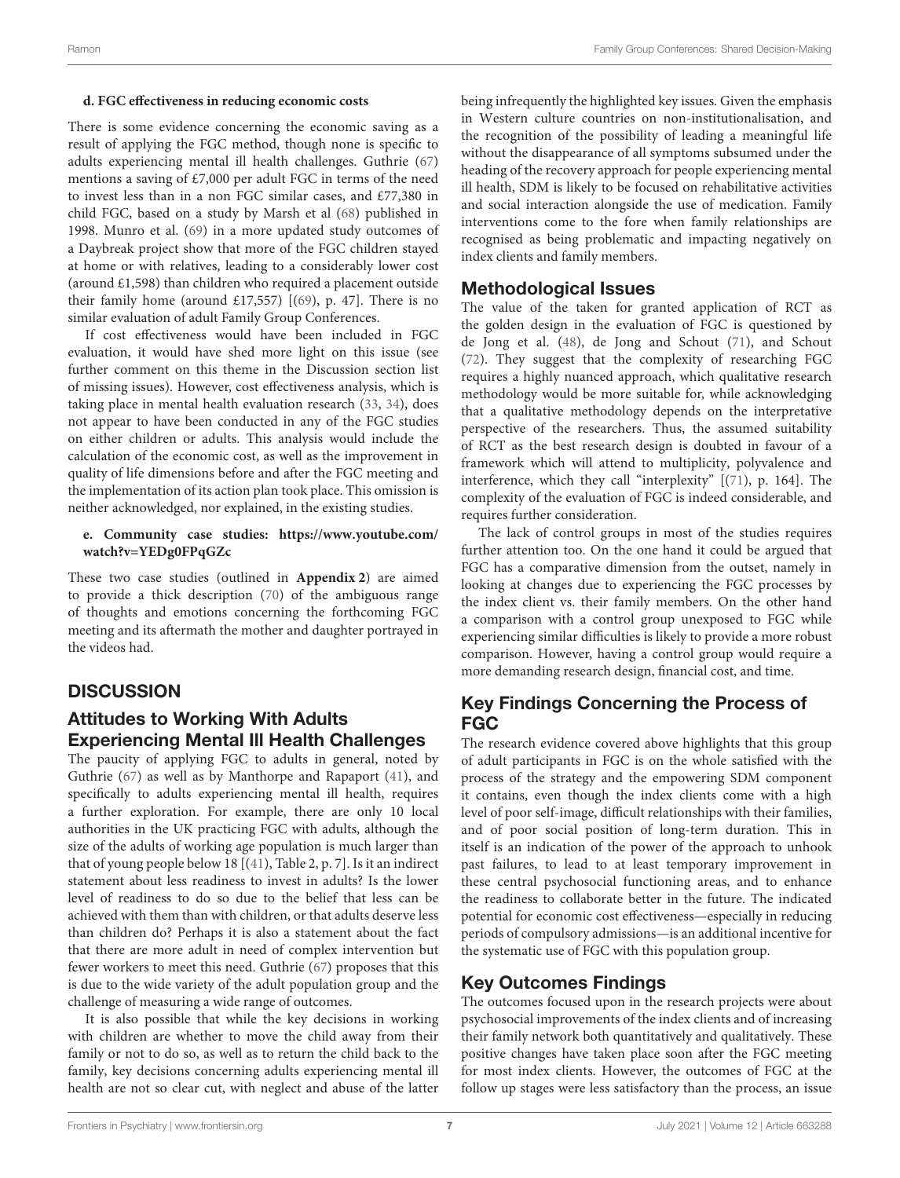### **d. FGC effectiveness in reducing economic costs**

There is some evidence concerning the economic saving as a result of applying the FGC method, though none is specific to adults experiencing mental ill health challenges. Guthrie [\(67\)](#page-9-15) mentions a saving of £7,000 per adult FGC in terms of the need to invest less than in a non FGC similar cases, and £77,380 in child FGC, based on a study by Marsh et al [\(68\)](#page-9-16) published in 1998. Munro et al. [\(69\)](#page-9-17) in a more updated study outcomes of a Daybreak project show that more of the FGC children stayed at home or with relatives, leading to a considerably lower cost (around £1,598) than children who required a placement outside their family home (around £17,557)  $[(69)$  $[(69)$ , p. 47]. There is no similar evaluation of adult Family Group Conferences.

If cost effectiveness would have been included in FGC evaluation, it would have shed more light on this issue (see further comment on this theme in the Discussion section list of missing issues). However, cost effectiveness analysis, which is taking place in mental health evaluation research [\(33,](#page-8-26) [34\)](#page-8-27), does not appear to have been conducted in any of the FGC studies on either children or adults. This analysis would include the calculation of the economic cost, as well as the improvement in quality of life dimensions before and after the FGC meeting and the implementation of its action plan took place. This omission is neither acknowledged, nor explained, in the existing studies.

### **e. Community case studies: [https://www.youtube.com/](https://www.youtube.com/watch?v=YEDg0FPqGZc) [watch?v=YEDg0FPqGZc](https://www.youtube.com/watch?v=YEDg0FPqGZc)**

These two case studies (outlined in **[Appendix 2](#page-7-5)**) are aimed to provide a thick description [\(70\)](#page-9-18) of the ambiguous range of thoughts and emotions concerning the forthcoming FGC meeting and its aftermath the mother and daughter portrayed in the videos had.

# **DISCUSSION**

### Attitudes to Working With Adults Experiencing Mental Ill Health Challenges

The paucity of applying FGC to adults in general, noted by Guthrie [\(67\)](#page-9-15) as well as by Manthorpe and Rapaport [\(41\)](#page-8-34), and specifically to adults experiencing mental ill health, requires a further exploration. For example, there are only 10 local authorities in the UK practicing FGC with adults, although the size of the adults of working age population is much larger than that of young people below 18 [[\(41\)](#page-8-34), Table 2, p. 7]. Is it an indirect statement about less readiness to invest in adults? Is the lower level of readiness to do so due to the belief that less can be achieved with them than with children, or that adults deserve less than children do? Perhaps it is also a statement about the fact that there are more adult in need of complex intervention but fewer workers to meet this need. Guthrie [\(67\)](#page-9-15) proposes that this is due to the wide variety of the adult population group and the challenge of measuring a wide range of outcomes.

It is also possible that while the key decisions in working with children are whether to move the child away from their family or not to do so, as well as to return the child back to the family, key decisions concerning adults experiencing mental ill health are not so clear cut, with neglect and abuse of the latter being infrequently the highlighted key issues. Given the emphasis in Western culture countries on non-institutionalisation, and the recognition of the possibility of leading a meaningful life without the disappearance of all symptoms subsumed under the heading of the recovery approach for people experiencing mental ill health, SDM is likely to be focused on rehabilitative activities and social interaction alongside the use of medication. Family interventions come to the fore when family relationships are recognised as being problematic and impacting negatively on index clients and family members.

### Methodological Issues

The value of the taken for granted application of RCT as the golden design in the evaluation of FGC is questioned by de Jong et al. [\(48\)](#page-8-41), de Jong and Schout [\(71\)](#page-9-19), and Schout [\(72\)](#page-9-20). They suggest that the complexity of researching FGC requires a highly nuanced approach, which qualitative research methodology would be more suitable for, while acknowledging that a qualitative methodology depends on the interpretative perspective of the researchers. Thus, the assumed suitability of RCT as the best research design is doubted in favour of a framework which will attend to multiplicity, polyvalence and interference, which they call "interplexity" [[\(71\)](#page-9-19), p. 164]. The complexity of the evaluation of FGC is indeed considerable, and requires further consideration.

The lack of control groups in most of the studies requires further attention too. On the one hand it could be argued that FGC has a comparative dimension from the outset, namely in looking at changes due to experiencing the FGC processes by the index client vs. their family members. On the other hand a comparison with a control group unexposed to FGC while experiencing similar difficulties is likely to provide a more robust comparison. However, having a control group would require a more demanding research design, financial cost, and time.

### Key Findings Concerning the Process of FGC

The research evidence covered above highlights that this group of adult participants in FGC is on the whole satisfied with the process of the strategy and the empowering SDM component it contains, even though the index clients come with a high level of poor self-image, difficult relationships with their families, and of poor social position of long-term duration. This in itself is an indication of the power of the approach to unhook past failures, to lead to at least temporary improvement in these central psychosocial functioning areas, and to enhance the readiness to collaborate better in the future. The indicated potential for economic cost effectiveness—especially in reducing periods of compulsory admissions—is an additional incentive for the systematic use of FGC with this population group.

# Key Outcomes Findings

The outcomes focused upon in the research projects were about psychosocial improvements of the index clients and of increasing their family network both quantitatively and qualitatively. These positive changes have taken place soon after the FGC meeting for most index clients. However, the outcomes of FGC at the follow up stages were less satisfactory than the process, an issue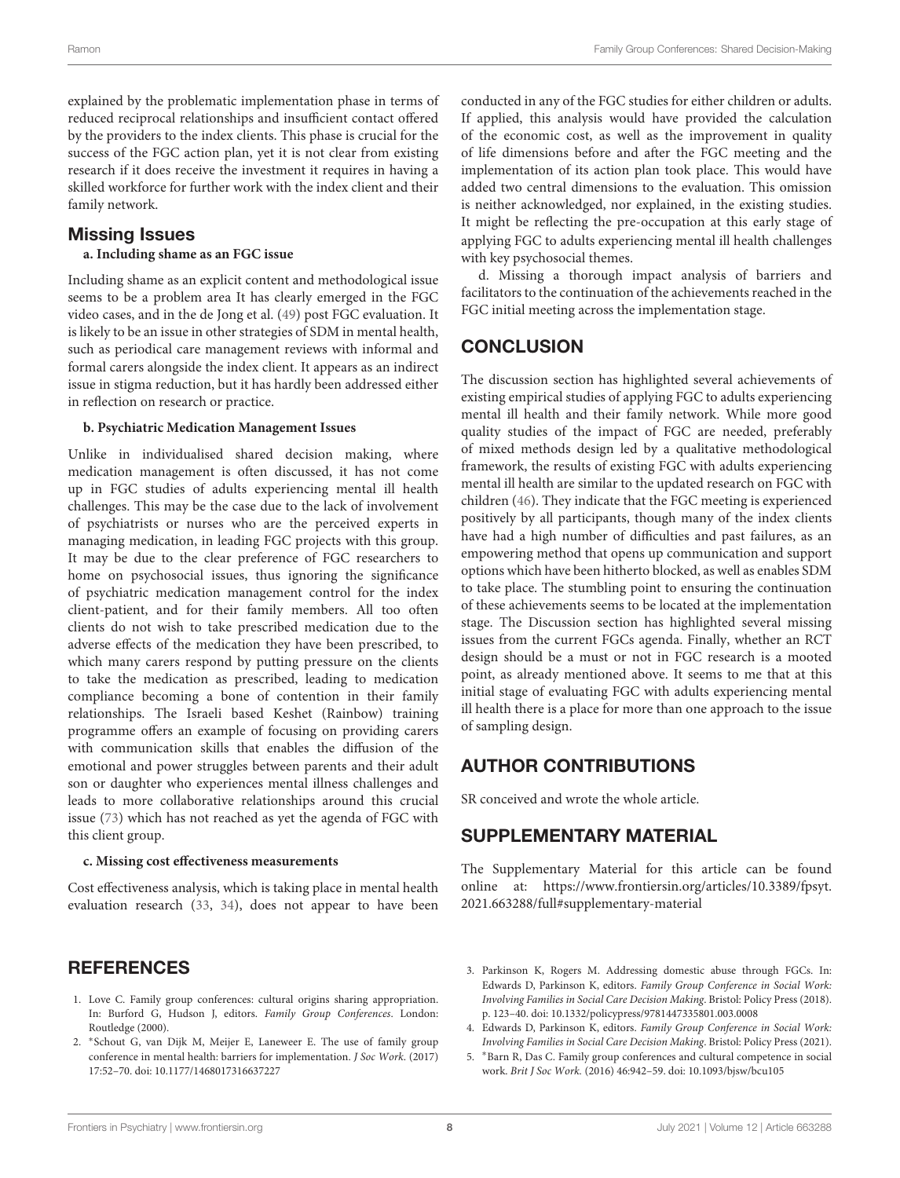explained by the problematic implementation phase in terms of reduced reciprocal relationships and insufficient contact offered by the providers to the index clients. This phase is crucial for the success of the FGC action plan, yet it is not clear from existing research if it does receive the investment it requires in having a skilled workforce for further work with the index client and their family network.

### Missing Issues

#### **a. Including shame as an FGC issue**

Including shame as an explicit content and methodological issue seems to be a problem area It has clearly emerged in the FGC video cases, and in the de Jong et al. [\(49\)](#page-8-43) post FGC evaluation. It is likely to be an issue in other strategies of SDM in mental health, such as periodical care management reviews with informal and formal carers alongside the index client. It appears as an indirect issue in stigma reduction, but it has hardly been addressed either in reflection on research or practice.

#### **b. Psychiatric Medication Management Issues**

Unlike in individualised shared decision making, where medication management is often discussed, it has not come up in FGC studies of adults experiencing mental ill health challenges. This may be the case due to the lack of involvement of psychiatrists or nurses who are the perceived experts in managing medication, in leading FGC projects with this group. It may be due to the clear preference of FGC researchers to home on psychosocial issues, thus ignoring the significance of psychiatric medication management control for the index client-patient, and for their family members. All too often clients do not wish to take prescribed medication due to the adverse effects of the medication they have been prescribed, to which many carers respond by putting pressure on the clients to take the medication as prescribed, leading to medication compliance becoming a bone of contention in their family relationships. The Israeli based Keshet (Rainbow) training programme offers an example of focusing on providing carers with communication skills that enables the diffusion of the emotional and power struggles between parents and their adult son or daughter who experiences mental illness challenges and leads to more collaborative relationships around this crucial issue [\(73\)](#page-9-21) which has not reached as yet the agenda of FGC with this client group.

#### **c. Missing cost effectiveness measurements**

Cost effectiveness analysis, which is taking place in mental health evaluation research [\(33,](#page-8-26) [34\)](#page-8-27), does not appear to have been

### **REFERENCES**

- <span id="page-7-0"></span>1. Love C. Family group conferences: cultural origins sharing appropriation. In: Burford G, Hudson J, editors. Family Group Conferences. London: Routledge (2000).
- <span id="page-7-1"></span>2. <sup>∗</sup> Schout G, van Dijk M, Meijer E, Laneweer E. The use of family group conference in mental health: barriers for implementation. J Soc Work. (2017) 17:52–70. doi: [10.1177/1468017316637227](https://doi.org/10.1177/1468017316637227)

conducted in any of the FGC studies for either children or adults. If applied, this analysis would have provided the calculation of the economic cost, as well as the improvement in quality of life dimensions before and after the FGC meeting and the implementation of its action plan took place. This would have added two central dimensions to the evaluation. This omission is neither acknowledged, nor explained, in the existing studies. It might be reflecting the pre-occupation at this early stage of applying FGC to adults experiencing mental ill health challenges with key psychosocial themes.

d. Missing a thorough impact analysis of barriers and facilitators to the continuation of the achievements reached in the FGC initial meeting across the implementation stage.

### **CONCLUSION**

The discussion section has highlighted several achievements of existing empirical studies of applying FGC to adults experiencing mental ill health and their family network. While more good quality studies of the impact of FGC are needed, preferably of mixed methods design led by a qualitative methodological framework, the results of existing FGC with adults experiencing mental ill health are similar to the updated research on FGC with children [\(46\)](#page-8-37). They indicate that the FGC meeting is experienced positively by all participants, though many of the index clients have had a high number of difficulties and past failures, as an empowering method that opens up communication and support options which have been hitherto blocked, as well as enables SDM to take place. The stumbling point to ensuring the continuation of these achievements seems to be located at the implementation stage. The Discussion section has highlighted several missing issues from the current FGCs agenda. Finally, whether an RCT design should be a must or not in FGC research is a mooted point, as already mentioned above. It seems to me that at this initial stage of evaluating FGC with adults experiencing mental ill health there is a place for more than one approach to the issue of sampling design.

### AUTHOR CONTRIBUTIONS

SR conceived and wrote the whole article.

### SUPPLEMENTARY MATERIAL

<span id="page-7-5"></span>The Supplementary Material for this article can be found [online at: https://www.frontiersin.org/articles/10.3389/fpsyt.](https://www.frontiersin.org/articles/10.3389/fpsyt.2021.663288/full#supplementary-material) 2021.663288/full#supplementary-material

- <span id="page-7-2"></span>3. Parkinson K, Rogers M. Addressing domestic abuse through FGCs. In: Edwards D, Parkinson K, editors. Family Group Conference in Social Work: Involving Families in Social Care Decision Making. Bristol: Policy Press (2018). p. 123–40. doi: [10.1332/policypress/9781447335801.003.0008](https://doi.org/10.1332/policypress/9781447335801.003.0008)
- <span id="page-7-3"></span>4. Edwards D, Parkinson K, editors. Family Group Conference in Social Work: Involving Families in Social Care Decision Making. Bristol: Policy Press (2021).
- <span id="page-7-4"></span>5. <sup>∗</sup>Barn R, Das C. Family group conferences and cultural competence in social work. Brit J Soc Work. (2016) 46:942–59. doi: [10.1093/bjsw/bcu105](https://doi.org/10.1093/bjsw/bcu105)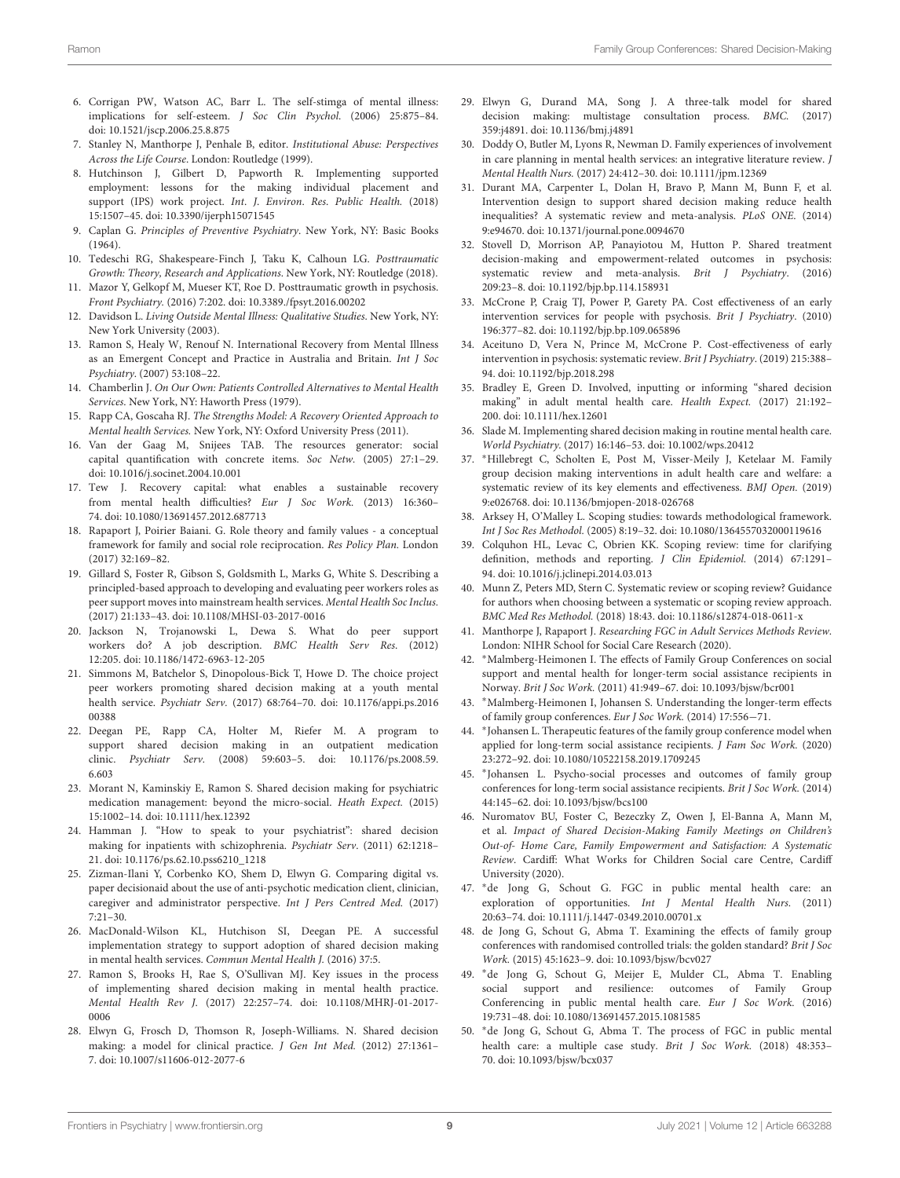- <span id="page-8-0"></span>6. Corrigan PW, Watson AC, Barr L. The self-stimga of mental illness: implications for self-esteem. J Soc Clin Psychol. (2006) 25:875–84. doi: [10.1521/jscp.2006.25.8.875](https://doi.org/10.1521/jscp.2006.25.8.875)
- <span id="page-8-1"></span>7. Stanley N, Manthorpe J, Penhale B, editor. Institutional Abuse: Perspectives Across the Life Course. London: Routledge (1999).
- <span id="page-8-2"></span>8. Hutchinson J, Gilbert D, Papworth R. Implementing supported employment: lessons for the making individual placement and support (IPS) work project. Int. J. Environ. Res. Public Health. (2018) 15:1507–45. doi: [10.3390/ijerph15071545](https://doi.org/10.3390/ijerph15071545)
- <span id="page-8-3"></span>9. Caplan G. Principles of Preventive Psychiatry. New York, NY: Basic Books (1964).
- <span id="page-8-4"></span>10. Tedeschi RG, Shakespeare-Finch J, Taku K, Calhoun LG. Posttraumatic Growth: Theory, Research and Applications. New York, NY: Routledge (2018).
- <span id="page-8-5"></span>11. Mazor Y, Gelkopf M, Mueser KT, Roe D. Posttraumatic growth in psychosis. Front Psychiatry. (2016) 7:202. doi: [10.3389./fpsyt.2016.00202](https://doi.org/10.3389./fpsyt.2016.00202)
- <span id="page-8-6"></span>12. Davidson L. Living Outside Mental Illness: Qualitative Studies. New York, NY: New York University (2003).
- <span id="page-8-7"></span>13. Ramon S, Healy W, Renouf N. International Recovery from Mental Illness as an Emergent Concept and Practice in Australia and Britain. Int J Soc Psychiatry. (2007) 53:108–22.
- <span id="page-8-8"></span>14. Chamberlin J. On Our Own: Patients Controlled Alternatives to Mental Health Services. New York, NY: Haworth Press (1979).
- <span id="page-8-9"></span>15. Rapp CA, Goscaha RJ. The Strengths Model: A Recovery Oriented Approach to Mental health Services. New York, NY: Oxford University Press (2011).
- <span id="page-8-10"></span>16. Van der Gaag M, Snijees TAB. The resources generator: social capital quantification with concrete items. Soc Netw. (2005) 27:1–29. doi: [10.1016/j.socinet.2004.10.001](https://doi.org/10.1016/j.socinet.2004.10.001)
- <span id="page-8-11"></span>17. Tew J. Recovery capital: what enables a sustainable recovery from mental health difficulties? Eur J Soc Work. (2013) 16:360– 74. doi: [10.1080/13691457.2012.687713](https://doi.org/10.1080/13691457.2012.687713)
- <span id="page-8-12"></span>18. Rapaport J, Poirier Baiani. G. Role theory and family values - a conceptual framework for family and social role reciprocation. Res Policy Plan. London (2017) 32:169–82.
- <span id="page-8-13"></span>19. Gillard S, Foster R, Gibson S, Goldsmith L, Marks G, White S. Describing a principled-based approach to developing and evaluating peer workers roles as peer support moves into mainstream health services. Mental Health Soc Inclus. (2017) 21:133–43. doi: [10.1108/MHSI-03-2017-0016](https://doi.org/10.1108/MHSI-03-2017-0016)
- 20. Jackson N, Trojanowski L, Dewa S. What do peer support workers do? A job description. BMC Health Serv Res. (2012) 12:205. doi: [10.1186/1472-6963-12-205](https://doi.org/10.1186/1472-6963-12-205)
- <span id="page-8-14"></span>21. Simmons M, Batchelor S, Dinopolous-Bick T, Howe D. The choice project peer workers promoting shared decision making at a youth mental health service. Psychiatr Serv. [\(2017\) 68:764–70. doi: 10.1176/appi.ps.2016](https://doi.org/10.1176/appi.ps.201600388) 00388
- <span id="page-8-15"></span>22. Deegan PE, Rapp CA, Holter M, Riefer M. A program to support shared decision making in an outpatient medication clinic. Psychiatr Serv. [\(2008\) 59:603–5. doi: 10.1176/ps.2008.59.](https://doi.org/10.1176/ps.2008.59.6.603) 6.603
- <span id="page-8-16"></span>23. Morant N, Kaminskiy E, Ramon S. Shared decision making for psychiatric medication management: beyond the micro-social. Heath Expect. (2015) 15:1002–14. doi: [10.1111/hex.12392](https://doi.org/10.1111/hex.12392)
- <span id="page-8-17"></span>24. Hamman J. "How to speak to your psychiatrist": shared decision making for inpatients with schizophrenia. Psychiatr Serv. (2011) 62:1218– 21. doi: [10.1176/ps.62.10.pss6210\\_1218](https://doi.org/10.1176/ps.62.10.pss6210_1218)
- <span id="page-8-18"></span>25. Zizman-Ilani Y, Corbenko KO, Shem D, Elwyn G. Comparing digital vs. paper decisionaid about the use of anti-psychotic medication client, clinician, caregiver and administrator perspective. Int J Pers Centred Med. (2017)  $7:21-30.$
- <span id="page-8-19"></span>26. MacDonald-Wilson KL, Hutchison SI, Deegan PE. A successful implementation strategy to support adoption of shared decision making in mental health services. Commun Mental Health J. (2016) 37:5.
- <span id="page-8-20"></span>27. Ramon S, Brooks H, Rae S, O'Sullivan MJ. Key issues in the process of implementing shared decision making in mental health practice. Mental Health Rev J[. \(2017\) 22:257–74. doi: 10.1108/MHRJ-01-2017-](https://doi.org/10.1108/MHRJ-01-2017-0006) 0006
- <span id="page-8-21"></span>28. Elwyn G, Frosch D, Thomson R, Joseph-Williams. N. Shared decision making: a model for clinical practice. J Gen Int Med. (2012) 27:1361-7. doi: [10.1007/s11606-012-2077-6](https://doi.org/10.1007/s11606-012-2077-6)
- <span id="page-8-22"></span>29. Elwyn G, Durand MA, Song J. A three-talk model for shared decision making: multistage consultation process. BMC. (2017) 359:j4891. doi: [10.1136/bmj.j4891](https://doi.org/10.1136/bmj.j4891)
- <span id="page-8-23"></span>30. Doddy O, Butler M, Lyons R, Newman D. Family experiences of involvement in care planning in mental health services: an integrative literature review. J Mental Health Nurs. (2017) 24:412–30. doi: [10.1111/jpm.12369](https://doi.org/10.1111/jpm.12369)
- <span id="page-8-24"></span>31. Durant MA, Carpenter L, Dolan H, Bravo P, Mann M, Bunn F, et al. Intervention design to support shared decision making reduce health inequalities? A systematic review and meta-analysis. PLoS ONE. (2014) 9:e94670. doi: [10.1371/journal.pone.0094670](https://doi.org/10.1371/journal.pone.0094670)
- <span id="page-8-25"></span>32. Stovell D, Morrison AP, Panayiotou M, Hutton P. Shared treatment decision-making and empowerment-related outcomes in psychosis: systematic review and meta-analysis. Brit J Psychiatry. (2016) 209:23–8. doi: [10.1192/bjp.bp.114.158931](https://doi.org/10.1192/bjp.bp.114.158931)
- <span id="page-8-26"></span>33. McCrone P, Craig TJ, Power P, Garety PA. Cost effectiveness of an early intervention services for people with psychosis. Brit J Psychiatry. (2010) 196:377–82. doi: [10.1192/bjp.bp.109.065896](https://doi.org/10.1192/bjp.bp.109.065896)
- <span id="page-8-27"></span>34. Aceituno D, Vera N, Prince M, McCrone P. Cost-effectiveness of early intervention in psychosis: systematic review. Brit J Psychiatry. (2019) 215:388– 94. doi: [10.1192/bjp.2018.298](https://doi.org/10.1192/bjp.2018.298)
- <span id="page-8-28"></span>35. Bradley E, Green D. Involved, inputting or informing "shared decision making" in adult mental health care. Health Expect. (2017) 21:192– 200. doi: [10.1111/hex.12601](https://doi.org/10.1111/hex.12601)
- <span id="page-8-29"></span>36. Slade M. Implementing shared decision making in routine mental health care. World Psychiatry. (2017) 16:146–53. doi: [10.1002/wps.20412](https://doi.org/10.1002/wps.20412)
- <span id="page-8-30"></span>37. <sup>∗</sup>Hillebregt C, Scholten E, Post M, Visser-Meily J, Ketelaar M. Family group decision making interventions in adult health care and welfare: a systematic review of its key elements and effectiveness. BMJ Open. (2019) 9:e026768. doi: [10.1136/bmjopen-2018-026768](https://doi.org/10.1136/bmjopen-2018-026768)
- <span id="page-8-31"></span>38. Arksey H, O'Malley L. Scoping studies: towards methodological framework. Int J Soc Res Methodol. (2005) 8:19–32. doi: [10.1080/1364557032000119616](https://doi.org/10.1080/1364557032000119616)
- <span id="page-8-32"></span>39. Colquhon HL, Levac C, Obrien KK. Scoping review: time for clarifying definition, methods and reporting. J Clin Epidemiol. (2014) 67:1291– 94. doi: [10.1016/j.jclinepi.2014.03.013](https://doi.org/10.1016/j.jclinepi.2014.03.013)
- <span id="page-8-33"></span>40. Munn Z, Peters MD, Stern C. Systematic review or scoping review? Guidance for authors when choosing between a systematic or scoping review approach. BMC Med Res Methodol. (2018) 18:43. doi: [10.1186/s12874-018-0611-x](https://doi.org/10.1186/s12874-018-0611-x)
- <span id="page-8-34"></span>41. Manthorpe J, Rapaport J. Researching FGC in Adult Services Methods Review. London: NIHR School for Social Care Research (2020).
- <span id="page-8-35"></span>42. <sup>∗</sup>Malmberg-Heimonen I. The effects of Family Group Conferences on social support and mental health for longer-term social assistance recipients in Norway. Brit J Soc Work. (2011) 41:949–67. doi: [10.1093/bjsw/bcr001](https://doi.org/10.1093/bjsw/bcr001)
- <span id="page-8-38"></span>43. <sup>∗</sup>Malmberg-Heimonen I, Johansen S. Understanding the longer-term effects of family group conferences. Eur J Soc Work. (2014) 17:556−71.
- <span id="page-8-39"></span>44. <sup>∗</sup> Johansen L. Therapeutic features of the family group conference model when applied for long-term social assistance recipients. *J Fam Soc Work.* (2020) 23:272–92. doi: [10.1080/10522158.2019.1709245](https://doi.org/10.1080/10522158.2019.1709245)
- <span id="page-8-36"></span>45. <sup>∗</sup> Johansen L. Psycho-social processes and outcomes of family group conferences for long-term social assistance recipients. Brit J Soc Work. (2014) 44:145–62. doi: [10.1093/bjsw/bcs100](https://doi.org/10.1093/bjsw/bcs100)
- <span id="page-8-37"></span>46. Nuromatov BU, Foster C, Bezeczky Z, Owen J, El-Banna A, Mann M, et al. Impact of Shared Decision-Making Family Meetings on Children's Out-of- Home Care, Family Empowerment and Satisfaction: A Systematic Review. Cardiff: What Works for Children Social care Centre, Cardiff University (2020).
- <span id="page-8-40"></span>47. <sup>∗</sup>de Jong G, Schout G. FGC in public mental health care: an exploration of opportunities. Int J Mental Health Nurs. (2011) 20:63–74. doi: [10.1111/j.1447-0349.2010.00701.x](https://doi.org/10.1111/j.1447-0349.2010.00701.x)
- <span id="page-8-41"></span>48. de Jong G, Schout G, Abma T. Examining the effects of family group conferences with randomised controlled trials: the golden standard? Brit J Soc Work. (2015) 45:1623–9. doi: [10.1093/bjsw/bcv027](https://doi.org/10.1093/bjsw/bcv027)
- <span id="page-8-43"></span>49. <sup>∗</sup>de Jong G, Schout G, Meijer E, Mulder CL, Abma T. Enabling social support and resilience: outcomes of Family Group Conferencing in public mental health care. Eur J Soc Work. (2016) 19:731–48. doi: [10.1080/13691457.2015.1081585](https://doi.org/10.1080/13691457.2015.1081585)
- <span id="page-8-42"></span>50. <sup>∗</sup>de Jong G, Schout G, Abma T. The process of FGC in public mental health care: a multiple case study. Brit J Soc Work. (2018) 48:353– 70. doi: [10.1093/bjsw/bcx037](https://doi.org/10.1093/bjsw/bcx037)